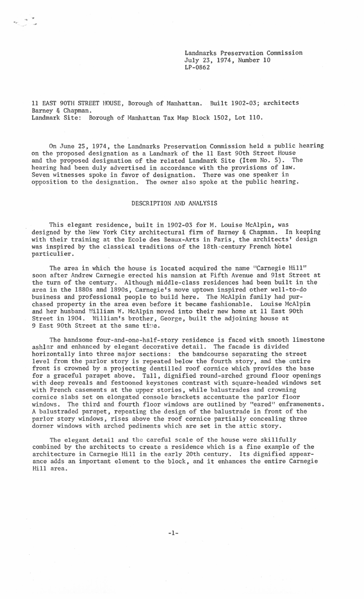Landmarks Preservation Commission July 23, 1974, Number 10 LP-0862

11 EAST 90TH STREET HOUSE, Borough of Manhattan. Built 1902-03; architects Barney & Chapman. Landmark Site: Borough of Manhattan Tax Map Block 1502, Lot 110.

 $\begin{picture}(180,10) \put(0,0){\line(1,0){10}} \put(10,0){\line(1,0){10}} \put(10,0){\line(1,0){10}} \put(10,0){\line(1,0){10}} \put(10,0){\line(1,0){10}} \put(10,0){\line(1,0){10}} \put(10,0){\line(1,0){10}} \put(10,0){\line(1,0){10}} \put(10,0){\line(1,0){10}} \put(10,0){\line(1,0){10}} \put(10,0){\line(1,0){10}} \put(10,0){\line($ 

On June 25, 1974, the Landmarks Preservation Commission held a public hearing on the proposed designation as a Landmark of the 11 East 90th Street House and the proposed designation of the related Landmark Site (Item No. 5). The hearing had been duly advertised in accordance with the provisions of law. Seven witnesses spoke in favor of designation. There was one speaker in opposition to the designation. The owner also spoke at the public hearing.

## DESCRIPTION AND ANALYSIS

This elegant residence, built in 1902-03 for M. Louise McAlpin, was designed by the New York City architectural firm of Barney & Chapman. In keeping with their training at the Ecole des Beaux-Arts in Paris, the architects' design was inspired by the classical traditions of the 18th-century French hotel particulier.

The area in which the house is located acquired the name "Carnegie Hill" soon after Andrew Carnegie erected his mansion at Fifth Avenue and 9lst Street at the turn of the century. Although middle-class residences had been built in the area in the 1880s and 1890s, Carnegie's move uptown inspired other well-to-do business and professional people to build here. The McAlpin family had purchased property in the area even before it became fashionable. Louise McAlpin and her husband William W. McAlpin moved into their new home at 11 East 90th Street in 1904. William's brother, George, built the adjoining house at 9 East 90th Street at the same time.

The handsome four-and-one-half-story residence is faced with smooth limestone ashlar and enhanced by elegant decorative detail. The facade is divided horizontally into three major sections: the bandcourse separating the street level from the parlor story is repeated below the fourth story, and the entire front is crowned by a projecting dentilled roof cornice which provides the base for a graceful parapet above. Tall, dignified round-arched ground floor openings with deep reveals and festooned keystones contrast with square-headed windows set with French casements at the upper stories, while balustrades and crowning cornice slabs set on elongated console brackets accentuate the parlor floor windows. The third and fourth floor windows are outlined by "eared" enframements. A balustraded parapet, repeating the design of the balustrade in front of the parlor story windows, rises above the roof cornice partially concealing three dormer windows with arched pediments which are set in the attic story.

The elegant detail and the careful scale of the house were skillfully combined by the architects to create a residence which is a fine example of the architecture in Carnegie Hill in the early 20th century. Its dignified appearance adds an important element to the block, and it enhances the entire Carnegie Hill area.